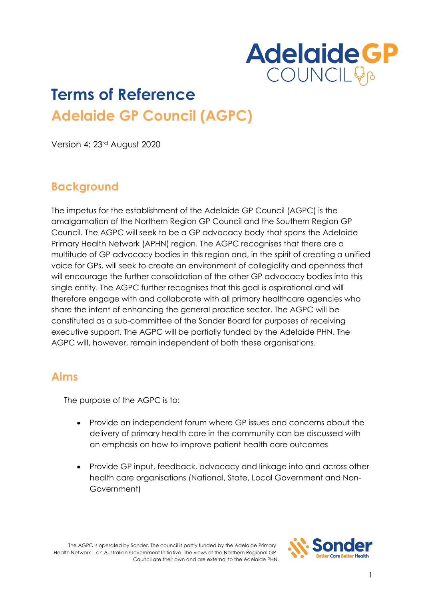

# **Terms of Reference Adelaide GP Council (AGPC)**

Version 4: 23rd August 2020

## **Background**

The impetus for the establishment of the Adelaide GP Council (AGPC) is the amalgamation of the Northern Region GP Council and the Southern Region GP Council. The AGPC will seek to be a GP advocacy body that spans the Adelaide Primary Health Network (APHN) region. The AGPC recognises that there are a multitude of GP advocacy bodies in this region and, in the spirit of creating a unified voice for GPs, will seek to create an environment of collegiality and openness that will encourage the further consolidation of the other GP advocacy bodies into this single entity. The AGPC further recognises that this goal is aspirational and will therefore engage with and collaborate with all primary healthcare agencies who share the intent of enhancing the general practice sector. The AGPC will be constituted as a sub-committee of the Sonder Board for purposes of receiving executive support. The AGPC will be partially funded by the Adelaide PHN. The AGPC will, however, remain independent of both these organisations.

#### **Aims**

The purpose of the AGPC is to:

- Provide an independent forum where GP issues and concerns about the delivery of primary health care in the community can be discussed with an emphasis on how to improve patient health care outcomes
- Provide GP input, feedback, advocacy and linkage into and across other health care organisations (National, State, Local Government and Non-Government)

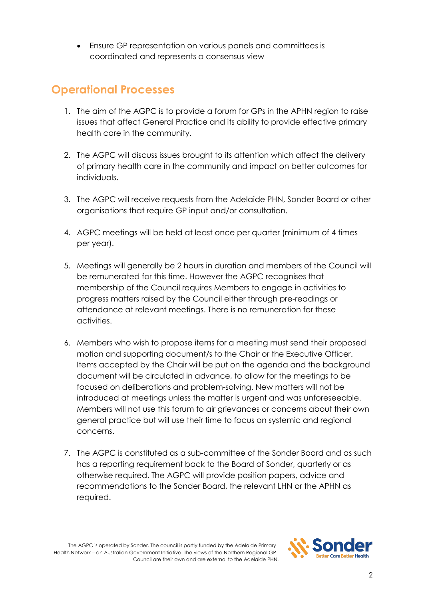• Ensure GP representation on various panels and committees is coordinated and represents a consensus view

### **Operational Processes**

- 1. The aim of the AGPC is to provide a forum for GPs in the APHN region to raise issues that affect General Practice and its ability to provide effective primary health care in the community.
- 2. The AGPC will discuss issues brought to its attention which affect the delivery of primary health care in the community and impact on better outcomes for individuals.
- 3. The AGPC will receive requests from the Adelaide PHN, Sonder Board or other organisations that require GP input and/or consultation.
- 4. AGPC meetings will be held at least once per quarter (minimum of 4 times per year).
- 5. Meetings will generally be 2 hours in duration and members of the Council will be remunerated for this time. However the AGPC recognises that membership of the Council requires Members to engage in activities to progress matters raised by the Council either through pre-readings or attendance at relevant meetings. There is no remuneration for these activities.
- 6. Members who wish to propose items for a meeting must send their proposed motion and supporting document/s to the Chair or the Executive Officer. Items accepted by the Chair will be put on the agenda and the background document will be circulated in advance, to allow for the meetings to be focused on deliberations and problem-solving. New matters will not be introduced at meetings unless the matter is urgent and was unforeseeable. Members will not use this forum to air grievances or concerns about their own general practice but will use their time to focus on systemic and regional concerns.
- 7. The AGPC is constituted as a sub-committee of the Sonder Board and as such has a reporting requirement back to the Board of Sonder, quarterly or as otherwise required. The AGPC will provide position papers, advice and recommendations to the Sonder Board, the relevant LHN or the APHN as required.

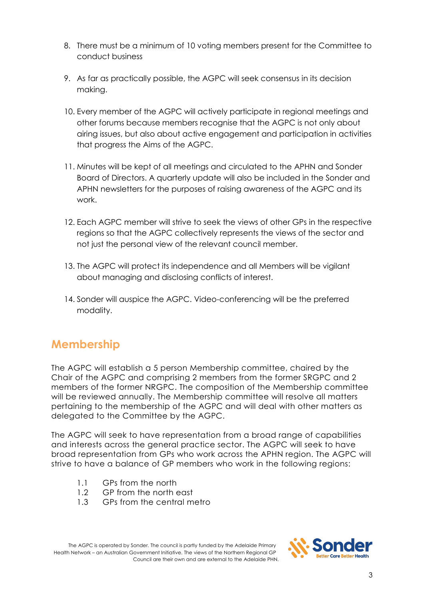- 8. There must be a minimum of 10 voting members present for the Committee to conduct business
- 9. As far as practically possible, the AGPC will seek consensus in its decision making.
- 10. Every member of the AGPC will actively participate in regional meetings and other forums because members recognise that the AGPC is not only about airing issues, but also about active engagement and participation in activities that progress the Aims of the AGPC.
- 11. Minutes will be kept of all meetings and circulated to the APHN and Sonder Board of Directors. A quarterly update will also be included in the Sonder and APHN newsletters for the purposes of raising awareness of the AGPC and its work.
- 12. Each AGPC member will strive to seek the views of other GPs in the respective regions so that the AGPC collectively represents the views of the sector and not just the personal view of the relevant council member.
- 13. The AGPC will protect its independence and all Members will be vigilant about managing and disclosing conflicts of interest.
- 14. Sonder will auspice the AGPC. Video-conferencing will be the preferred modality.

# **Membership**

The AGPC will establish a 5 person Membership committee, chaired by the Chair of the AGPC and comprising 2 members from the former SRGPC and 2 members of the former NRGPC. The composition of the Membership committee will be reviewed annually. The Membership committee will resolve all matters pertaining to the membership of the AGPC and will deal with other matters as delegated to the Committee by the AGPC.

The AGPC will seek to have representation from a broad range of capabilities and interests across the general practice sector. The AGPC will seek to have broad representation from GPs who work across the APHN region. The AGPC will strive to have a balance of GP members who work in the following regions:

- 1.1 GPs from the north
- 1.2 GP from the north east
- 1.3 GPs from the central metro

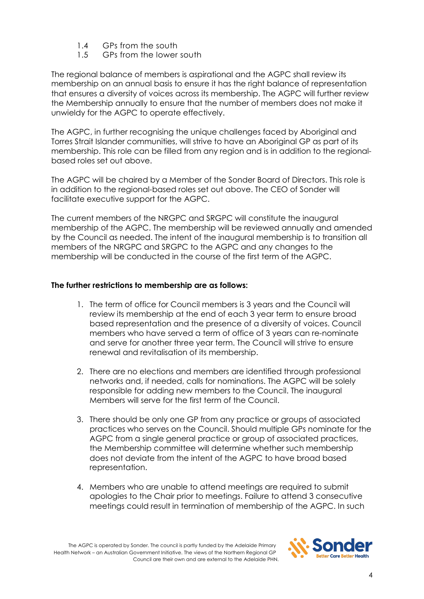- 1.4 GPs from the south
- 1.5 GPs from the lower south

The regional balance of members is aspirational and the AGPC shall review its membership on an annual basis to ensure it has the right balance of representation that ensures a diversity of voices across its membership. The AGPC will further review the Membership annually to ensure that the number of members does not make it unwieldy for the AGPC to operate effectively.

The AGPC, in further recognising the unique challenges faced by Aboriginal and Torres Strait Islander communities, will strive to have an Aboriginal GP as part of its membership. This role can be filled from any region and is in addition to the regionalbased roles set out above.

The AGPC will be chaired by a Member of the Sonder Board of Directors. This role is in addition to the regional-based roles set out above. The CEO of Sonder will facilitate executive support for the AGPC.

The current members of the NRGPC and SRGPC will constitute the inaugural membership of the AGPC. The membership will be reviewed annually and amended by the Council as needed. The intent of the inaugural membership is to transition all members of the NRGPC and SRGPC to the AGPC and any changes to the membership will be conducted in the course of the first term of the AGPC.

#### **The further restrictions to membership are as follows:**

- 1. The term of office for Council members is 3 years and the Council will review its membership at the end of each 3 year term to ensure broad based representation and the presence of a diversity of voices. Council members who have served a term of office of 3 years can re-nominate and serve for another three year term. The Council will strive to ensure renewal and revitalisation of its membership.
- 2. There are no elections and members are identified through professional networks and, if needed, calls for nominations. The AGPC will be solely responsible for adding new members to the Council. The inaugural Members will serve for the first term of the Council.
- 3. There should be only one GP from any practice or groups of associated practices who serves on the Council. Should multiple GPs nominate for the AGPC from a single general practice or group of associated practices, the Membership committee will determine whether such membership does not deviate from the intent of the AGPC to have broad based representation.
- 4. Members who are unable to attend meetings are required to submit apologies to the Chair prior to meetings. Failure to attend 3 consecutive meetings could result in termination of membership of the AGPC. In such